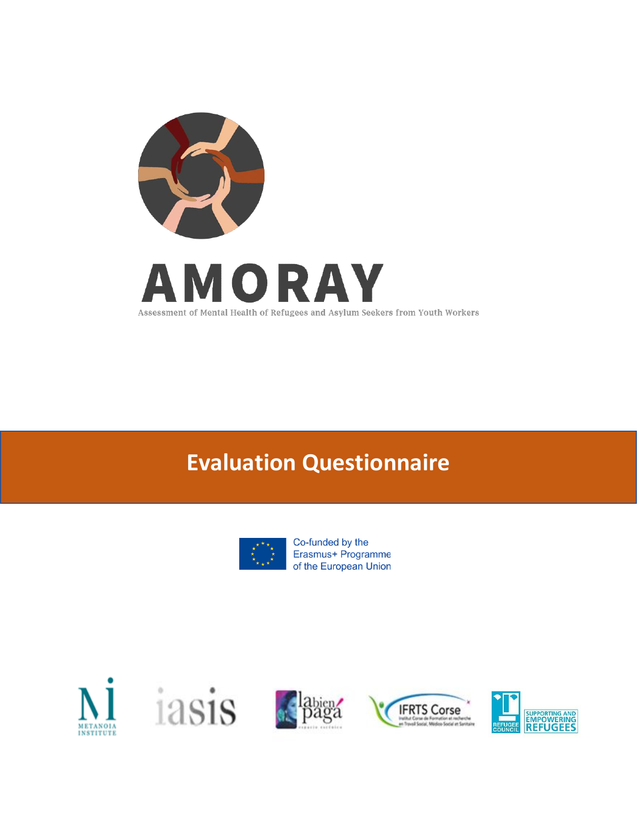

# **Evaluation Questionnaire**



Co-funded by the Erasmus+ Programme of the European Union









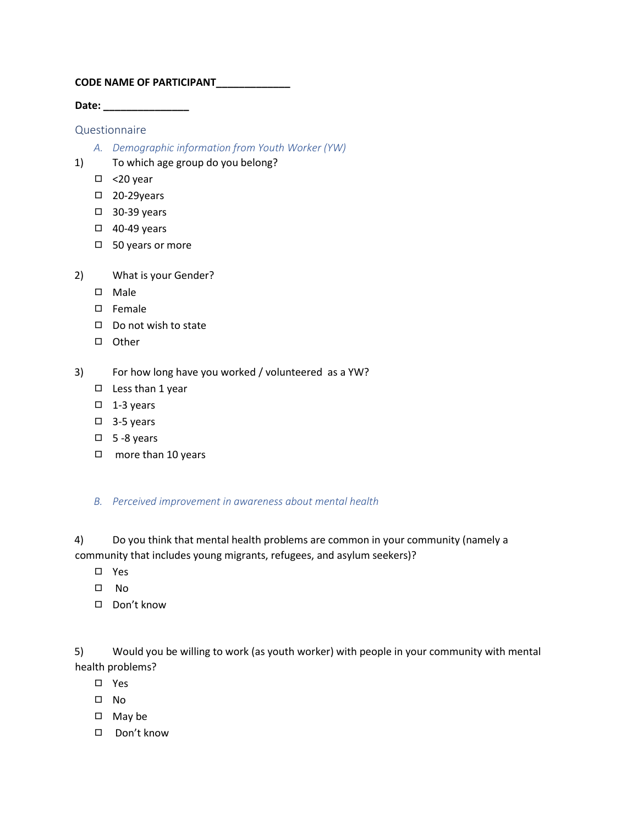## **CODE NAME OF PARTICIPANT\_\_\_\_\_\_\_\_\_\_\_\_\_**

**Date: \_\_\_\_\_\_\_\_\_\_\_\_\_\_\_**

## Questionnaire

- *A. Demographic information from Youth Worker (YW)*
- 1) To which age group do you belong?
	- ◻ <20 year
	- ◻ 20-29years
	- ◻ 30-39 years
	- ◻ 40-49 years
	- ◻ 50 years or more
- 2) What is your Gender?
	- ◻ Male
	- ◻ Female
	- ◻ Do not wish to state
	- ◻ Other
- 3) For how long have you worked / volunteered as a YW?
	- ◻ Less than 1 year
	- ◻ 1-3 years
	- ◻ 3-5 years
	- ◻ 5 -8 years
	- ◻ more than 10 years

## *B. Perceived improvement in awareness about mental health*

4) Do you think that mental health problems are common in your community (namely a community that includes young migrants, refugees, and asylum seekers)?

- ◻ Yes
- ◻ No
- ◻ Don't know

5) Would you be willing to work (as youth worker) with people in your community with mental health problems?

- ◻ Yes
- ◻ No
- ◻ May be
- ◻ Don't know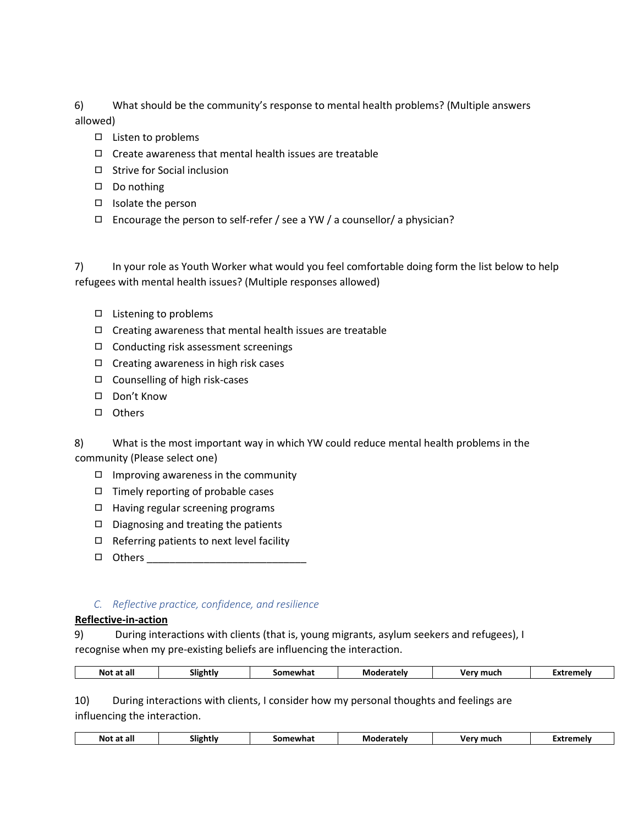6) What should be the community's response to mental health problems? (Multiple answers allowed)

- ◻ Listen to problems
- $\Box$  Create awareness that mental health issues are treatable
- ◻ Strive for Social inclusion
- ◻ Do nothing
- ◻ Isolate the person
- $\Box$  Encourage the person to self-refer / see a YW / a counsellor/ a physician?

7) In your role as Youth Worker what would you feel comfortable doing form the list below to help refugees with mental health issues? (Multiple responses allowed)

- ◻ Listening to problems
- ◻ Creating awareness that mental health issues are treatable
- ◻ Conducting risk assessment screenings
- ◻ Creating awareness in high risk cases
- ◻ Counselling of high risk-cases
- ◻ Don't Know
- ◻ Others

8) What is the most important way in which YW could reduce mental health problems in the community (Please select one)

- ◻ Improving awareness in the community
- ◻ Timely reporting of probable cases
- ◻ Having regular screening programs
- ◻ Diagnosing and treating the patients
- $\Box$  Referring patients to next level facility
- ◻ Others \_\_\_\_\_\_\_\_\_\_\_\_\_\_\_\_\_\_\_\_\_\_\_\_\_\_\_\_

## *C. Reflective practice, confidence, and resilience*

## **Reflective-in-action**

9) During interactions with clients (that is, young migrants, asylum seekers and refugees), I recognise when my pre-existing beliefs are influencing the interaction.

| <b>Not</b><br>at all<br>. ан | -<br>.liohtlv<br>. . | าewhat<br>ίΩn | Moderately | Verv<br>much | -xtremelv |
|------------------------------|----------------------|---------------|------------|--------------|-----------|
|                              |                      |               |            |              |           |

10) During interactions with clients, I consider how my personal thoughts and feelings are influencing the interaction.

| Not<br>at all<br>.<br>___ | Slightly | Somewhat<br>. | Moderately<br>. | much<br>$\mathbf{u}$<br>. .<br>, . | Extremely |
|---------------------------|----------|---------------|-----------------|------------------------------------|-----------|
|                           |          |               |                 |                                    |           |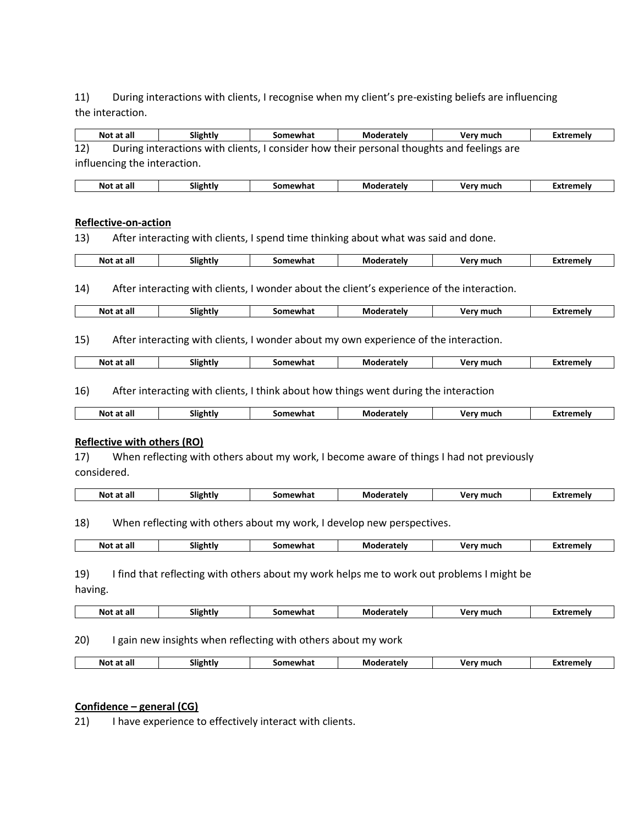11) During interactions with clients, I recognise when my client's pre-existing beliefs are influencing the interaction.

| Not at all                         | Slightly | Somewhat | <b>Moderately</b>                                                                          | Very much                                                                                | <b>Extremely</b> |
|------------------------------------|----------|----------|--------------------------------------------------------------------------------------------|------------------------------------------------------------------------------------------|------------------|
| 12)                                |          |          | During interactions with clients, I consider how their personal thoughts and feelings are  |                                                                                          |                  |
| influencing the interaction.       |          |          |                                                                                            |                                                                                          |                  |
| Not at all                         | Slightly | Somewhat | Moderately                                                                                 | Very much                                                                                | <b>Extremely</b> |
|                                    |          |          |                                                                                            |                                                                                          |                  |
|                                    |          |          |                                                                                            |                                                                                          |                  |
| <b>Reflective-on-action</b>        |          |          |                                                                                            |                                                                                          |                  |
| 13)                                |          |          | After interacting with clients, I spend time thinking about what was said and done.        |                                                                                          |                  |
| Not at all                         | Slightly | Somewhat | Moderately                                                                                 | Very much                                                                                | <b>Extremely</b> |
|                                    |          |          |                                                                                            |                                                                                          |                  |
| 14)                                |          |          | After interacting with clients, I wonder about the client's experience of the interaction. |                                                                                          |                  |
|                                    |          |          |                                                                                            |                                                                                          |                  |
| Not at all                         | Slightly | Somewhat | Moderately                                                                                 | Very much                                                                                | <b>Extremely</b> |
|                                    |          |          |                                                                                            |                                                                                          |                  |
| 15)                                |          |          | After interacting with clients, I wonder about my own experience of the interaction.       |                                                                                          |                  |
| Not at all                         | Slightly | Somewhat | <b>Moderately</b>                                                                          | Very much                                                                                | <b>Extremely</b> |
|                                    |          |          |                                                                                            |                                                                                          |                  |
| 16)                                |          |          | After interacting with clients, I think about how things went during the interaction       |                                                                                          |                  |
| Not at all                         | Slightly | Somewhat | <b>Moderately</b>                                                                          | Very much                                                                                | <b>Extremely</b> |
|                                    |          |          |                                                                                            |                                                                                          |                  |
| <b>Reflective with others (RO)</b> |          |          |                                                                                            |                                                                                          |                  |
| 17)                                |          |          |                                                                                            | When reflecting with others about my work, I become aware of things I had not previously |                  |
| considered.                        |          |          |                                                                                            |                                                                                          |                  |
|                                    |          |          |                                                                                            |                                                                                          |                  |
| Not at all                         | Slightly | Somewhat | Moderately                                                                                 | Very much                                                                                | <b>Extremely</b> |
|                                    |          |          |                                                                                            |                                                                                          |                  |
| 18)                                |          |          | When reflecting with others about my work, I develop new perspectives.                     |                                                                                          |                  |
| Not at all                         | Slightly | Somewhat | <b>Moderately</b>                                                                          | Very much                                                                                | <b>Extremely</b> |
|                                    |          |          |                                                                                            |                                                                                          |                  |
|                                    |          |          |                                                                                            |                                                                                          |                  |
|                                    |          |          | I find that reflecting with others about my work helps me to work out problems I might be  |                                                                                          |                  |
|                                    |          |          |                                                                                            |                                                                                          |                  |
| 19)<br>having.<br>Not at all       | Slightly | Somewhat | Moderately                                                                                 | Very much                                                                                | <b>Extremely</b> |

# 20) I gain new insights when reflecting with others about my work

| ∵≏telv<br>much<br>Not<br>. all<br>mewna.<br>аL<br>$\sim$<br>__<br>_____<br>$\sim$ |
|-----------------------------------------------------------------------------------|
|-----------------------------------------------------------------------------------|

# **Confidence – general (CG)**

21) I have experience to effectively interact with clients.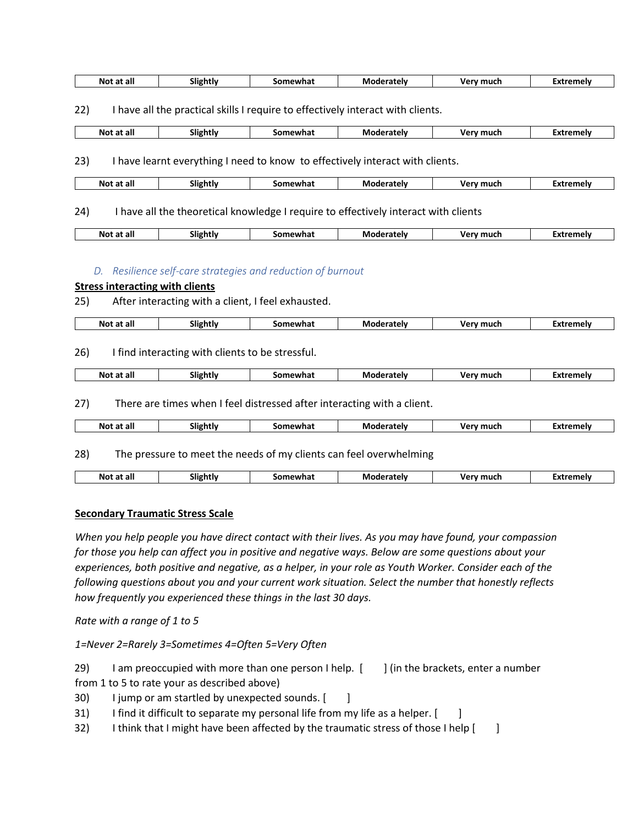| Not<br>at all | <br>slightly | Somewhat | Mc<br>oderatelv | v mucr<br>verv | Extremelv |
|---------------|--------------|----------|-----------------|----------------|-----------|
|               |              |          | ı aten          |                |           |

22) I have all the practical skills I require to effectively interact with clients.

| No!<br>at all | $\sim$ 12<br>slightly | newhal<br>٠nη | Mo<br>atelv<br>. . | much<br>v۵۱ | ™amalv<br>. |
|---------------|-----------------------|---------------|--------------------|-------------|-------------|
|               |                       |               |                    |             |             |

23) I have learnt everything I need to know to effectively interact with clients.

|  | at all<br>Not | Slightly | าewhai<br>óΩr | Mo<br>`derately | much<br>vor<br>__ | tremely<br>$\overline{\phantom{a}}$<br>. .<br>$  -$ |
|--|---------------|----------|---------------|-----------------|-------------------|-----------------------------------------------------|
|--|---------------|----------|---------------|-----------------|-------------------|-----------------------------------------------------|

24) I have all the theoretical knowledge I require to effectively interact with clients

| --<br>all<br>NΩ<br>αı | <br>slightly | somewhat | oderately<br>Mod | ما م د د همد<br>mu. | ™xtremelv |
|-----------------------|--------------|----------|------------------|---------------------|-----------|
|                       |              |          |                  |                     |           |

#### *D. Resilience self-care strategies and reduction of burnout*

## **Stress interacting with clients**

25) After interacting with a client, I feel exhausted.

| Not at all | Slightly | wha<br>.omev | Mo<br>oderately | Verv<br>much | Extremely |
|------------|----------|--------------|-----------------|--------------|-----------|
|            |          |              |                 |              |           |

26) I find interacting with clients to be stressful.

| at all<br>Not | ---<br>Slightly | somewhat | Moderately | .Verv much | Extremelv<br>-^~ |
|---------------|-----------------|----------|------------|------------|------------------|
|               |                 |          |            |            |                  |

27) There are times when I feel distressed after interacting with a client.

| Not | . at all | slightiv | ewhat<br>.<br>۰nr | м<br>ndaratalv | .<br>$-1$<br>. | -vtromok<br><br>^` |
|-----|----------|----------|-------------------|----------------|----------------|--------------------|
|     |          | . .      |                   |                |                |                    |

28) The pressure to meet the needs of my clients can feel overwhelming

| . .<br>at all<br>Not<br>slightly<br>. <i>.</i> . | Somewhat | M٥<br>`oratelv<br>аме | Very muck | Extremelv |
|--------------------------------------------------|----------|-----------------------|-----------|-----------|
|--------------------------------------------------|----------|-----------------------|-----------|-----------|

#### **Secondary Traumatic Stress Scale**

*When you help people you have direct contact with their lives. As you may have found, your compassion for those you help can affect you in positive and negative ways. Below are some questions about your experiences, both positive and negative, as a helper, in your role as Youth Worker. Consider each of the following questions about you and your current work situation. Select the number that honestly reflects how frequently you experienced these things in the last 30 days.*

*Rate with a range of 1 to 5* 

*1=Never 2=Rarely 3=Sometimes 4=Often 5=Very Often*

29) I am preoccupied with more than one person I help. [ ] (in the brackets, enter a number

- from 1 to 5 to rate your as described above)
- 30) I jump or am startled by unexpected sounds. [ ]
- 31) I find it difficult to separate my personal life from my life as a helper. [ ]
- 32) I think that I might have been affected by the traumatic stress of those I help  $\begin{bmatrix} 1 \end{bmatrix}$